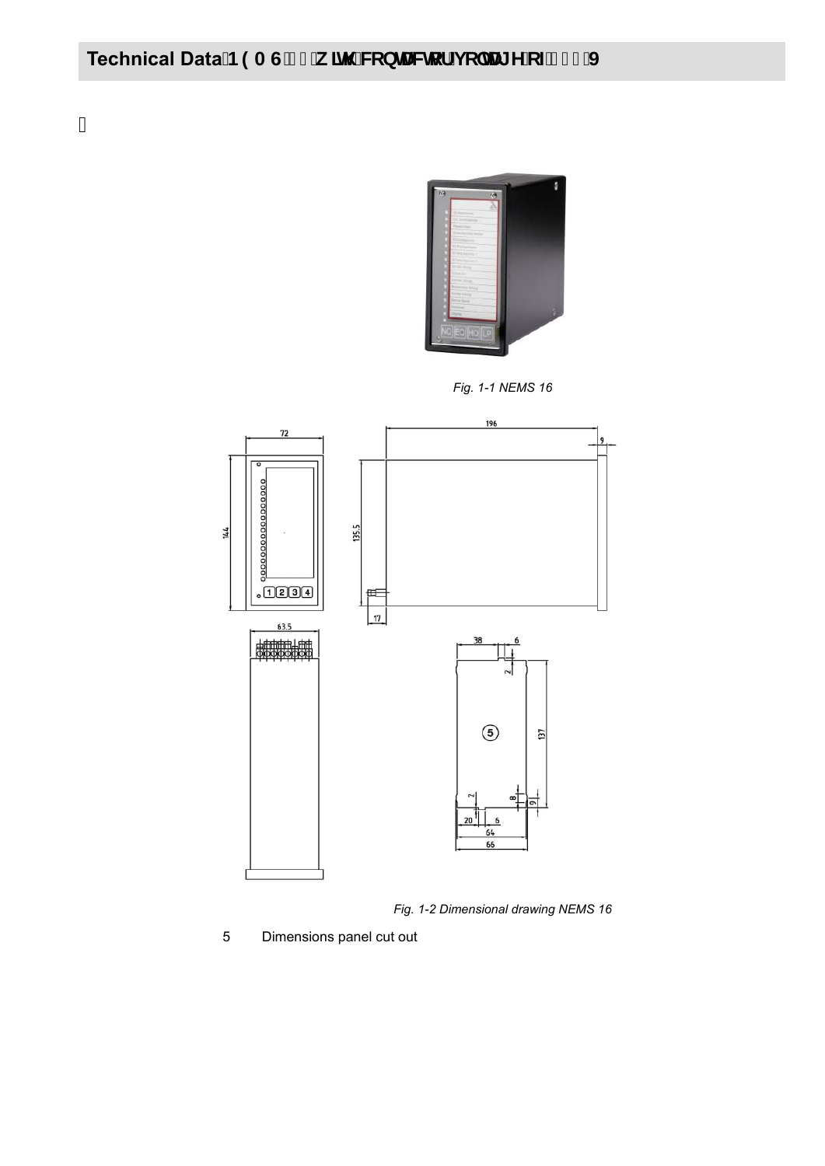## Technical Data<sup>B9AG'%</sup> k Jh 'WbHJWcf'j c'HJ YcZ&' \$J

ä,



*Fig. 1-1 NEMS 16*



*Fig. 1-2 Dimensional drawing NEMS 16*

5 Dimensions panel cut out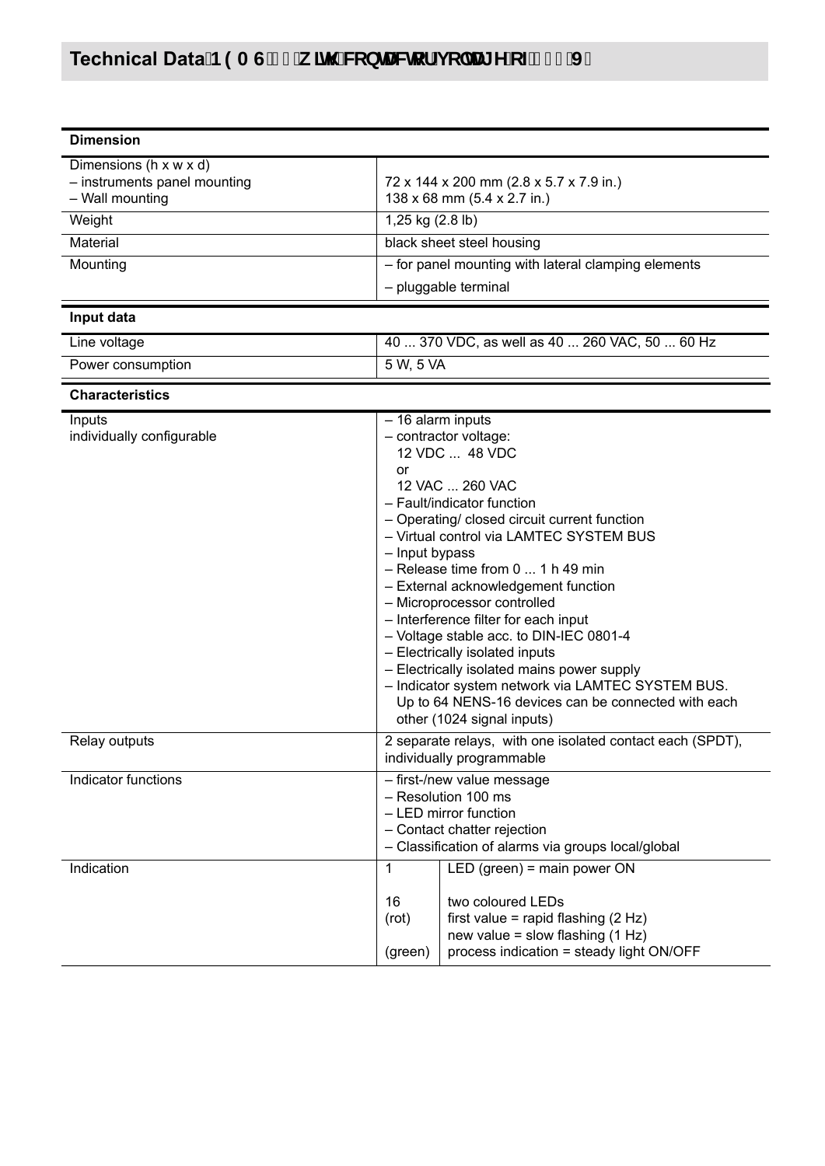# Technical Data<sup>B9AG'%</sup> k Jh 'WbHWcf'j c'HI YcZ&' \$'J

| <b>Dimension</b>                                                                        |                             |                                                                                                                                                                                                                                                                                                                                                                                                                                                                                                                                                                                                                                                      |  |  |
|-----------------------------------------------------------------------------------------|-----------------------------|------------------------------------------------------------------------------------------------------------------------------------------------------------------------------------------------------------------------------------------------------------------------------------------------------------------------------------------------------------------------------------------------------------------------------------------------------------------------------------------------------------------------------------------------------------------------------------------------------------------------------------------------------|--|--|
| Dimensions ( $h \times w \times d$ )<br>- instruments panel mounting<br>- Wall mounting |                             | 72 x 144 x 200 mm (2.8 x 5.7 x 7.9 in.)<br>138 x 68 mm (5.4 x 2.7 in.)                                                                                                                                                                                                                                                                                                                                                                                                                                                                                                                                                                               |  |  |
| Weight                                                                                  |                             | 1,25 kg (2.8 lb)                                                                                                                                                                                                                                                                                                                                                                                                                                                                                                                                                                                                                                     |  |  |
| Material                                                                                |                             | black sheet steel housing                                                                                                                                                                                                                                                                                                                                                                                                                                                                                                                                                                                                                            |  |  |
| Mounting                                                                                |                             | - for panel mounting with lateral clamping elements                                                                                                                                                                                                                                                                                                                                                                                                                                                                                                                                                                                                  |  |  |
|                                                                                         |                             | - pluggable terminal                                                                                                                                                                                                                                                                                                                                                                                                                                                                                                                                                                                                                                 |  |  |
| Input data                                                                              |                             |                                                                                                                                                                                                                                                                                                                                                                                                                                                                                                                                                                                                                                                      |  |  |
| Line voltage                                                                            |                             | 40  370 VDC, as well as 40  260 VAC, 50  60 Hz                                                                                                                                                                                                                                                                                                                                                                                                                                                                                                                                                                                                       |  |  |
| Power consumption                                                                       | 5 W, 5 VA                   |                                                                                                                                                                                                                                                                                                                                                                                                                                                                                                                                                                                                                                                      |  |  |
| <b>Characteristics</b>                                                                  |                             |                                                                                                                                                                                                                                                                                                                                                                                                                                                                                                                                                                                                                                                      |  |  |
| Inputs<br>individually configurable                                                     | or                          | - 16 alarm inputs<br>- contractor voltage:<br>12 VDC  48 VDC<br>12 VAC  260 VAC<br>- Fault/indicator function<br>- Operating/ closed circuit current function<br>- Virtual control via LAMTEC SYSTEM BUS<br>- Input bypass<br>$-$ Release time from 0  1 h 49 min<br>- External acknowledgement function<br>- Microprocessor controlled<br>- Interference filter for each input<br>- Voltage stable acc. to DIN-IEC 0801-4<br>- Electrically isolated inputs<br>- Electrically isolated mains power supply<br>- Indicator system network via LAMTEC SYSTEM BUS.<br>Up to 64 NENS-16 devices can be connected with each<br>other (1024 signal inputs) |  |  |
| Relay outputs                                                                           |                             | 2 separate relays, with one isolated contact each (SPDT),<br>individually programmable                                                                                                                                                                                                                                                                                                                                                                                                                                                                                                                                                               |  |  |
| Indicator functions                                                                     |                             | - first-/new value message<br>- Resolution 100 ms<br>- LED mirror function<br>- Contact chatter rejection<br>- Classification of alarms via groups local/global                                                                                                                                                                                                                                                                                                                                                                                                                                                                                      |  |  |
| Indication                                                                              | 1<br>16<br>(rot)<br>(green) | LED (green) = main power $ON$<br>two coloured LEDs<br>first value = rapid flashing $(2 Hz)$<br>new value = slow flashing $(1 Hz)$<br>process indication = steady light ON/OFF                                                                                                                                                                                                                                                                                                                                                                                                                                                                        |  |  |